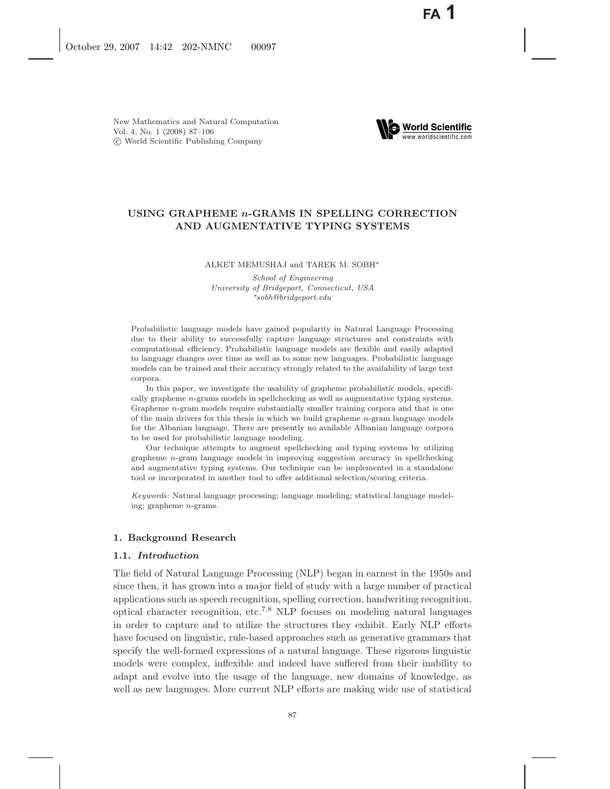

# **USING GRAPHEME** *n***-GRAMS IN SPELLING CORRECTION AND AUGMENTATIVE TYPING SYSTEMS**

#### ALKET MEMUSHAJ and TAREK M. SOBH∗

*School of Engineering University of Bridgeport, Connecticut, USA* ∗*sobh@bridgeport.edu*

Probabilistic language models have gained popularity in Natural Language Processing due to their ability to successfully capture language structures and constraints with computational efficiency. Probabilistic language models are flexible and easily adapted to language changes over time as well as to some new languages. Probabilistic language models can be trained and their accuracy strongly related to the availability of large text corpora.

In this paper, we investigate the usability of grapheme probabilistic models, specifically grapheme *n*-grams models in spellchecking as well as augmentative typing systems. Grapheme *n*-gram models require substantially smaller training corpora and that is one of the main drivers for this thesis in which we build grapheme *n*-gram language models for the Albanian language. There are presently no available Albanian language corpora to be used for probabilistic language modeling.

Our technique attempts to augment spellchecking and typing systems by utilizing grapheme *n*-gram language models in improving suggestion accuracy in spellchecking and augmentative typing systems. Our technique can be implemented in a standalone tool or incorporated in another tool to offer additional selection/scoring criteria.

*Keywords*: Natural language processing; language modeling; statistical language modeling; grapheme *n*-grams.

# **1. Background Research**

# **1.1.** *Introduction*

The field of Natural Language Processing (NLP) began in earnest in the 1950s and since then, it has grown into a major field of study with a large number of practical applications such as speech recognition, spelling correction, handwriting recognition, optical character recognition, etc.<sup>7</sup>*,*<sup>8</sup> NLP focuses on modeling natural languages in order to capture and to utilize the structures they exhibit. Early NLP efforts have focused on linguistic, rule-based approaches such as generative grammars that specify the well-formed expressions of a natural language. These rigorous linguistic models were complex, inflexible and indeed have suffered from their inability to adapt and evolve into the usage of the language, new domains of knowledge, as well as new languages. More current NLP efforts are making wide use of statistical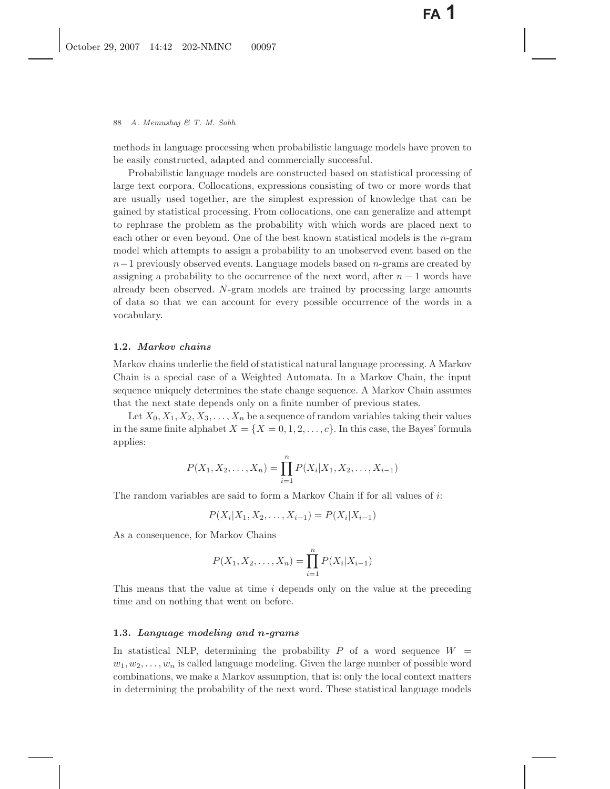methods in language processing when probabilistic language models have proven to be easily constructed, adapted and commercially successful.

Probabilistic language models are constructed based on statistical processing of large text corpora. Collocations, expressions consisting of two or more words that are usually used together, are the simplest expression of knowledge that can be gained by statistical processing. From collocations, one can generalize and attempt to rephrase the problem as the probability with which words are placed next to each other or even beyond. One of the best known statistical models is the n-gram model which attempts to assign a probability to an unobserved event based on the n−1 previously observed events. Language models based on n-grams are created by assigning a probability to the occurrence of the next word, after  $n-1$  words have already been observed. N-gram models are trained by processing large amounts of data so that we can account for every possible occurrence of the words in a vocabulary.

# **1.2.** *Markov chains*

Markov chains underlie the field of statistical natural language processing. A Markov Chain is a special case of a Weighted Automata. In a Markov Chain, the input sequence uniquely determines the state change sequence. A Markov Chain assumes that the next state depends only on a finite number of previous states.

Let  $X_0, X_1, X_2, X_3, \ldots, X_n$  be a sequence of random variables taking their values in the same finite alphabet  $X = \{X = 0, 1, 2, \ldots, c\}$ . In this case, the Bayes' formula applies:

$$
P(X_1, X_2, \dots, X_n) = \prod_{i=1}^n P(X_i | X_1, X_2, \dots, X_{i-1})
$$

The random variables are said to form a Markov Chain if for all values of i:

$$
P(X_i|X_1, X_2, \dots, X_{i-1}) = P(X_i|X_{i-1})
$$

As a consequence, for Markov Chains

$$
P(X_1, X_2, \dots, X_n) = \prod_{i=1}^n P(X_i | X_{i-1})
$$

This means that the value at time i depends only on the value at the preceding time and on nothing that went on before.

#### **1.3.** *Language modeling and n-grams*

In statistical NLP, determining the probability  $P$  of a word sequence  $W =$  $w_1, w_2, \ldots, w_n$  is called language modeling. Given the large number of possible word combinations, we make a Markov assumption, that is: only the local context matters in determining the probability of the next word. These statistical language models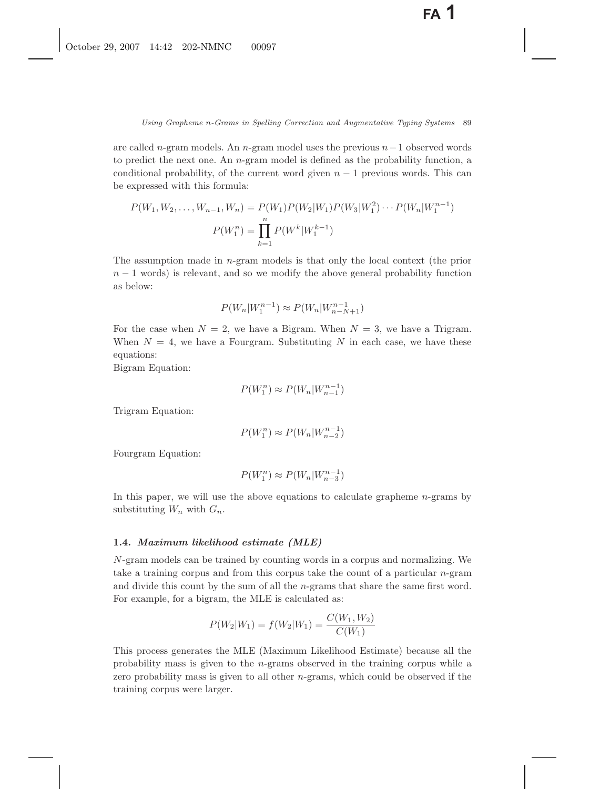are called n-gram models. An n-gram model uses the previous  $n-1$  observed words to predict the next one. An n-gram model is defined as the probability function, a conditional probability, of the current word given  $n - 1$  previous words. This can be expressed with this formula:

$$
P(W_1, W_2, \dots, W_{n-1}, W_n) = P(W_1)P(W_2|W_1)P(W_3|W_1^2)\cdots P(W_n|W_1^{n-1})
$$

$$
P(W_1^n) = \prod_{k=1}^n P(W^k|W_1^{k-1})
$$

The assumption made in n-gram models is that only the local context (the prior  $n-1$  words) is relevant, and so we modify the above general probability function as below:

$$
P(W_n|W_1^{n-1}) \approx P(W_n|W_{n-N+1}^{n-1})
$$

For the case when  $N = 2$ , we have a Bigram. When  $N = 3$ , we have a Trigram. When  $N = 4$ , we have a Fourgram. Substituting N in each case, we have these equations:

Bigram Equation:

$$
P(W_1^n) \approx P(W_n | W_{n-1}^{n-1})
$$

Trigram Equation:

$$
P(W_1^n) \approx P(W_n | W_{n-2}^{n-1})
$$

Fourgram Equation:

$$
P(W_1^n) \approx P(W_n | W_{n-3}^{n-1})
$$

In this paper, we will use the above equations to calculate grapheme  $n$ -grams by substituting  $W_n$  with  $G_n$ .

### **1.4.** *Maximum likelihood estimate (MLE)*

N-gram models can be trained by counting words in a corpus and normalizing. We take a training corpus and from this corpus take the count of a particular  $n$ -gram and divide this count by the sum of all the n-grams that share the same first word. For example, for a bigram, the MLE is calculated as:

$$
P(W_2|W_1) = f(W_2|W_1) = \frac{C(W_1, W_2)}{C(W_1)}
$$

This process generates the MLE (Maximum Likelihood Estimate) because all the probability mass is given to the n-grams observed in the training corpus while a zero probability mass is given to all other  $n$ -grams, which could be observed if the training corpus were larger.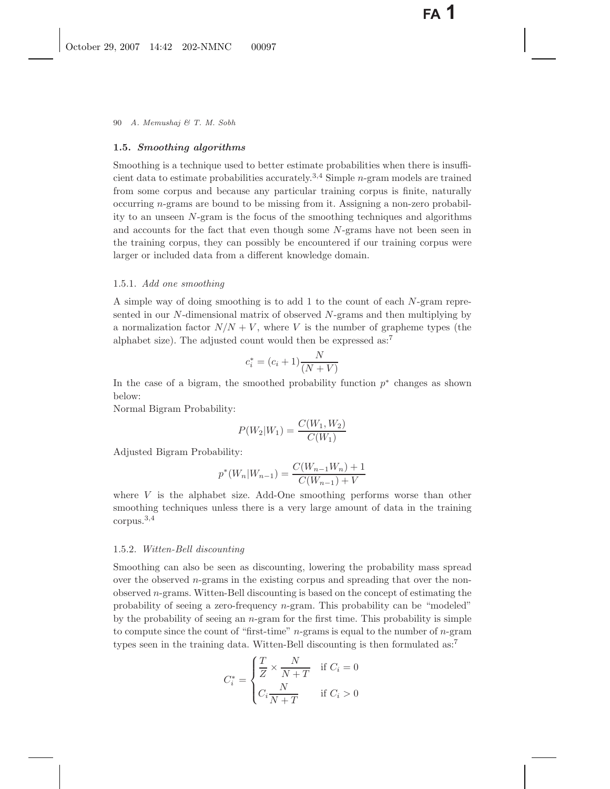## **1.5.** *Smoothing algorithms*

Smoothing is a technique used to better estimate probabilities when there is insufficient data to estimate probabilities accurately.3*,*<sup>4</sup> Simple n-gram models are trained from some corpus and because any particular training corpus is finite, naturally occurring n-grams are bound to be missing from it. Assigning a non-zero probability to an unseen N-gram is the focus of the smoothing techniques and algorithms and accounts for the fact that even though some N-grams have not been seen in the training corpus, they can possibly be encountered if our training corpus were larger or included data from a different knowledge domain.

#### 1.5.1. *Add one smoothing*

A simple way of doing smoothing is to add 1 to the count of each N-gram represented in our  $N$ -dimensional matrix of observed  $N$ -grams and then multiplying by a normalization factor  $N/N + V$ , where V is the number of grapheme types (the alphabet size). The adjusted count would then be expressed  $as:^7$ 

$$
c_i^* = (c_i + 1)\frac{N}{(N+V)}
$$

In the case of a bigram, the smoothed probability function  $p^*$  changes as shown below:

Normal Bigram Probability:

$$
P(W_2|W_1) = \frac{C(W_1, W_2)}{C(W_1)}
$$

Adjusted Bigram Probability:

$$
p^*(W_n|W_{n-1}) = \frac{C(W_{n-1}W_n) + 1}{C(W_{n-1}) + V}
$$

where  $V$  is the alphabet size. Add-One smoothing performs worse than other smoothing techniques unless there is a very large amount of data in the training corpus.<sup>3</sup>*,*<sup>4</sup>

#### 1.5.2. *Witten-Bell discounting*

Smoothing can also be seen as discounting, lowering the probability mass spread over the observed n-grams in the existing corpus and spreading that over the nonobserved  $n$ -grams. Witten-Bell discounting is based on the concept of estimating the probability of seeing a zero-frequency n-gram. This probability can be "modeled" by the probability of seeing an  $n$ -gram for the first time. This probability is simple to compute since the count of "first-time" n-grams is equal to the number of n-gram types seen in the training data. Witten-Bell discounting is then formulated as:<sup>7</sup>

$$
C_i^* = \begin{cases} \frac{T}{Z} \times \frac{N}{N+T} & \text{if } C_i = 0\\ C_i \frac{N}{N+T} & \text{if } C_i > 0 \end{cases}
$$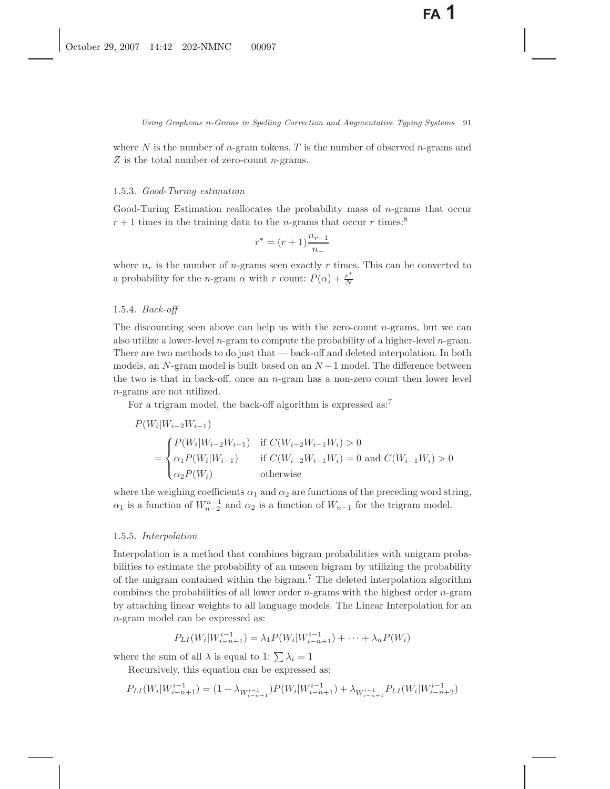where N is the number of n-gram tokens, T is the number of observed n-grams and Z is the total number of zero-count *n*-grams.

#### 1.5.3. *Good-Turing estimation*

Good-Turing Estimation reallocates the probability mass of  $n$ -grams that occur  $r+1$  times in the training data to the *n*-grams that occur r times:<sup>8</sup>

$$
r^* = (r+1)\frac{n_{r+1}}{n_{-}}
$$

where  $n_r$  is the number of *n*-grams seen exactly r times. This can be converted to a probability for the *n*-gram  $\alpha$  with *r* count:  $P(\alpha) + \frac{r^*}{N}$ 

### 1.5.4. *Back-off*

The discounting seen above can help us with the zero-count  $n$ -grams, but we can also utilize a lower-level n-gram to compute the probability of a higher-level n-gram. There are two methods to do just that — back-off and deleted interpolation. In both models, an N-gram model is built based on an  $N-1$  model. The difference between the two is that in back-off, once an  $n$ -gram has a non-zero count then lower level n-grams are not utilized.

For a trigram model, the back-off algorithm is expressed as:<sup>7</sup>

$$
P(W_i|W_{i-2}W_{i-1})
$$
  
= 
$$
\begin{cases} P(W_i|W_{i-2}W_{i-1}) & \text{if } C(W_{i-2}W_{i-1}W_i) > 0 \\ \alpha_1 P(W_i|W_{i-1}) & \text{if } C(W_{i-2}W_{i-1}W_i) = 0 \text{ and } C(W_{i-1}W_i) > 0 \\ \alpha_2 P(W_i) & \text{otherwise} \end{cases}
$$

where the weighing coefficients  $\alpha_1$  and  $\alpha_2$  are functions of the preceding word string,  $\alpha_1$  is a function of  $W_{n-2}^{n-1}$  and  $\alpha_2$  is a function of  $W_{n-1}$  for the trigram model.

### 1.5.5. *Interpolation*

Interpolation is a method that combines bigram probabilities with unigram probabilities to estimate the probability of an unseen bigram by utilizing the probability of the unigram contained within the bigram.<sup>7</sup> The deleted interpolation algorithm combines the probabilities of all lower order  $n$ -grams with the highest order  $n$ -gram by attaching linear weights to all language models. The Linear Interpolation for an n-gram model can be expressed as:

$$
P_{LI}(W_i|W_{i-n+1}^{i-1}) = \lambda_1 P(W_i|W_{i-n+1}^{i-1}) + \dots + \lambda_n P(W_i)
$$

where the sum of all  $\lambda$  is equal to 1:  $\sum \lambda_i = 1$ 

Recursively, this equation can be expressed as:

$$
P_{LI}(W_i|W_{i-n+1}^{i-1}) = (1 - \lambda_{W_{i-n+1}^{i-1}})P(W_i|W_{i-n+1}^{i-1}) + \lambda_{W_{i-n+1}^{i-1}}P_{LI}(W_i|W_{i-n+2}^{i-1})
$$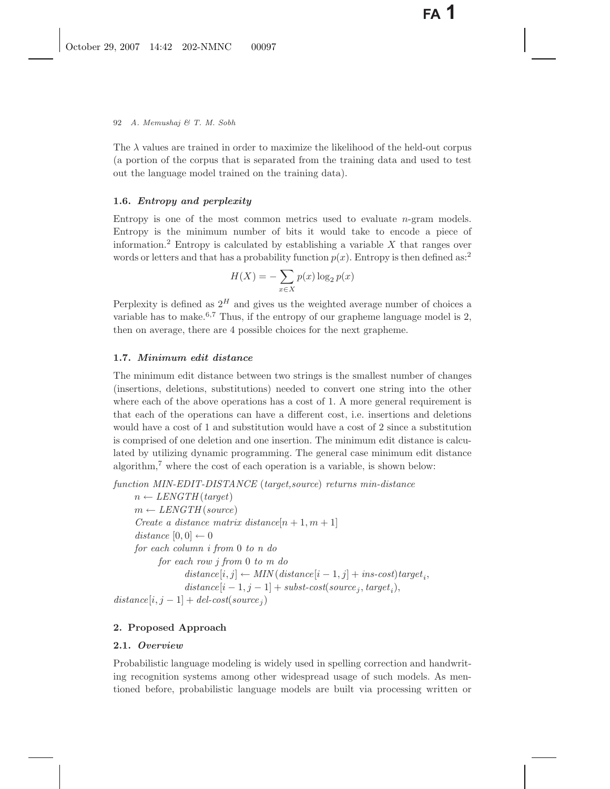The  $\lambda$  values are trained in order to maximize the likelihood of the held-out corpus (a portion of the corpus that is separated from the training data and used to test out the language model trained on the training data).

# **1.6.** *Entropy and perplexity*

Entropy is one of the most common metrics used to evaluate n-gram models. Entropy is the minimum number of bits it would take to encode a piece of information.<sup>2</sup> Entropy is calculated by establishing a variable  $X$  that ranges over words or letters and that has a probability function  $p(x)$ . Entropy is then defined as:<sup>2</sup>

$$
H(X) = -\sum_{x \in X} p(x) \log_2 p(x)
$$

Perplexity is defined as  $2^H$  and gives us the weighted average number of choices a variable has to make.<sup>6,7</sup> Thus, if the entropy of our grapheme language model is 2, then on average, there are 4 possible choices for the next grapheme.

# **1.7.** *Minimum edit distance*

The minimum edit distance between two strings is the smallest number of changes (insertions, deletions, substitutions) needed to convert one string into the other where each of the above operations has a cost of 1. A more general requirement is that each of the operations can have a different cost, i.e. insertions and deletions would have a cost of 1 and substitution would have a cost of 2 since a substitution is comprised of one deletion and one insertion. The minimum edit distance is calculated by utilizing dynamic programming. The general case minimum edit distance algorithm,<sup>7</sup> where the cost of each operation is a variable, is shown below:

*function MIN-EDIT-DISTANCE* (*target,source*) *returns min-distance*

 $n \leftarrow \text{LENGTH}( \text{target})$  $m \leftarrow \text{LENGTH}(\text{source})$ *Create a distance matrix distance* $[n+1, m+1]$ *distance*  $[0, 0] \leftarrow 0$ *for each column i from* 0 *to n do for each row j from* 0 *to m do*  $distance[i, j] \leftarrow MIN(distance[i - 1, j] + ins-cost)target_i$  $distance[i-1, j-1] + subset-cost(source<sub>i</sub>, target<sub>i</sub>),$  $distance[i, j - 1] + del-cost(source_j)$ 

# **2. Proposed Approach**

# **2.1.** *Overview*

Probabilistic language modeling is widely used in spelling correction and handwriting recognition systems among other widespread usage of such models. As mentioned before, probabilistic language models are built via processing written or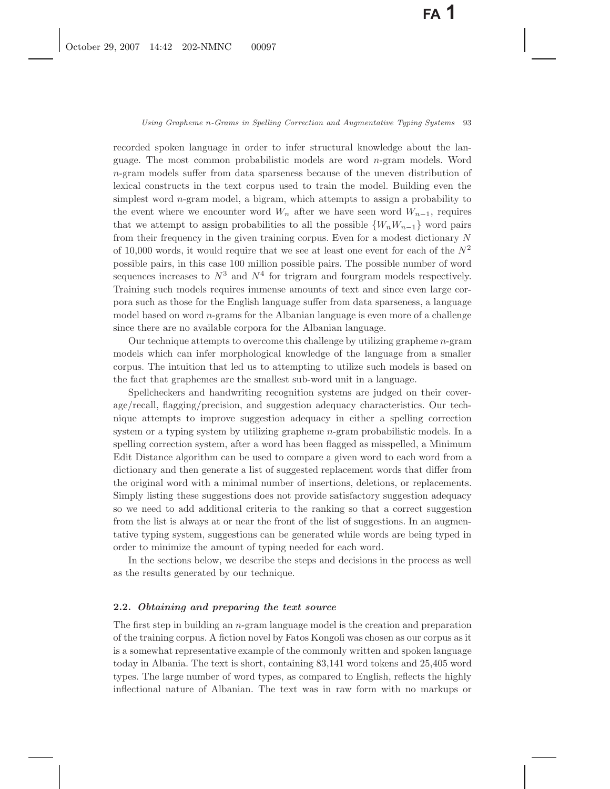recorded spoken language in order to infer structural knowledge about the language. The most common probabilistic models are word  $n$ -gram models. Word n-gram models suffer from data sparseness because of the uneven distribution of lexical constructs in the text corpus used to train the model. Building even the simplest word n-gram model, a bigram, which attempts to assign a probability to the event where we encounter word  $W_n$  after we have seen word  $W_{n-1}$ , requires that we attempt to assign probabilities to all the possible  $\{W_nW_{n-1}\}\)$  word pairs from their frequency in the given training corpus. Even for a modest dictionary N of 10,000 words, it would require that we see at least one event for each of the  $N^2$ possible pairs, in this case 100 million possible pairs. The possible number of word sequences increases to  $N^3$  and  $N^4$  for trigram and fourgram models respectively. Training such models requires immense amounts of text and since even large corpora such as those for the English language suffer from data sparseness, a language model based on word n-grams for the Albanian language is even more of a challenge since there are no available corpora for the Albanian language.

Our technique attempts to overcome this challenge by utilizing grapheme  $n$ -gram models which can infer morphological knowledge of the language from a smaller corpus. The intuition that led us to attempting to utilize such models is based on the fact that graphemes are the smallest sub-word unit in a language.

Spellcheckers and handwriting recognition systems are judged on their coverage/recall, flagging/precision, and suggestion adequacy characteristics. Our technique attempts to improve suggestion adequacy in either a spelling correction system or a typing system by utilizing grapheme n-gram probabilistic models. In a spelling correction system, after a word has been flagged as misspelled, a Minimum Edit Distance algorithm can be used to compare a given word to each word from a dictionary and then generate a list of suggested replacement words that differ from the original word with a minimal number of insertions, deletions, or replacements. Simply listing these suggestions does not provide satisfactory suggestion adequacy so we need to add additional criteria to the ranking so that a correct suggestion from the list is always at or near the front of the list of suggestions. In an augmentative typing system, suggestions can be generated while words are being typed in order to minimize the amount of typing needed for each word.

In the sections below, we describe the steps and decisions in the process as well as the results generated by our technique.

# **2.2.** *Obtaining and preparing the text source*

The first step in building an n-gram language model is the creation and preparation of the training corpus. A fiction novel by Fatos Kongoli was chosen as our corpus as it is a somewhat representative example of the commonly written and spoken language today in Albania. The text is short, containing 83,141 word tokens and 25,405 word types. The large number of word types, as compared to English, reflects the highly inflectional nature of Albanian. The text was in raw form with no markups or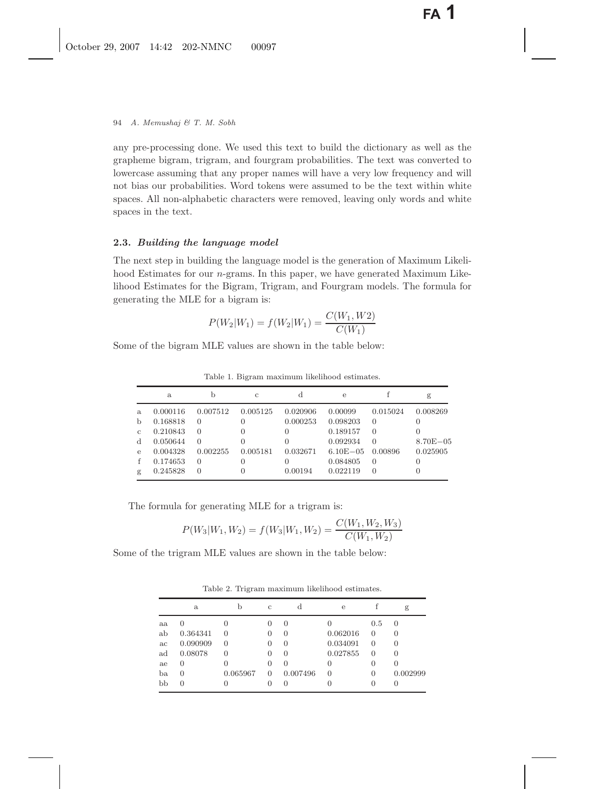any pre-processing done. We used this text to build the dictionary as well as the grapheme bigram, trigram, and fourgram probabilities. The text was converted to lowercase assuming that any proper names will have a very low frequency and will not bias our probabilities. Word tokens were assumed to be the text within white spaces. All non-alphabetic characters were removed, leaving only words and white spaces in the text.

# **2.3.** *Building the language model*

The next step in building the language model is the generation of Maximum Likelihood Estimates for our *n*-grams. In this paper, we have generated Maximum Likelihood Estimates for the Bigram, Trigram, and Fourgram models. The formula for generating the MLE for a bigram is:

$$
P(W_2|W_1) = f(W_2|W_1) = \frac{C(W_1, W2)}{C(W_1)}
$$

Some of the bigram MLE values are shown in the table below:

|               | a.       |          | $\mathcal{C}$ | d                | е            |          | g            |
|---------------|----------|----------|---------------|------------------|--------------|----------|--------------|
| a.            | 0.000116 | 0.007512 | 0.005125      | 0.020906         | 0.00099      | 0.015024 | 0.008269     |
| $\mathbf b$   | 0.168818 | $\Omega$ |               | 0.000253         | 0.098203     | $\Omega$ |              |
| $\mathcal{C}$ | 0.210843 | $\Omega$ |               | $\left( \right)$ | 0.189157     | $\Omega$ |              |
| <sub>d</sub>  | 0.050644 | $\Omega$ |               |                  | 0.092934     | $\Omega$ | $8.70E - 05$ |
| $\mathbf{e}$  | 0.004328 | 0.002255 | 0.005181      | 0.032671         | $6.10E - 05$ | 0.00896  | 0.025905     |
| f             | 0.174653 | $\Omega$ |               |                  | 0.084805     | $\Omega$ |              |
| g             | 0.245828 | $\Omega$ |               | 0.00194          | 0.022119     | $\Omega$ |              |

Table 1. Bigram maximum likelihood estimates.

The formula for generating MLE for a trigram is:

$$
P(W_3|W_1, W_2) = f(W_3|W_1, W_2) = \frac{C(W_1, W_2, W_3)}{C(W_1, W_2)}
$$

Some of the trigram MLE values are shown in the table below:

Table 2. Trigram maximum likelihood estimates.

|    | a            | b                | $\mathcal{C}$    | d                | $\mathbf{e}$ |                  | g                |
|----|--------------|------------------|------------------|------------------|--------------|------------------|------------------|
| aa | $\cup$       | $\left( \right)$ | $\cup$           | $\left( \right)$ |              | 0.5              | $\left( \right)$ |
| ab | 0.364341     | $\left( \right)$ | $\left( \right)$ | $\left( \right)$ | 0.062016     | $\theta$         | $\theta$         |
| ac | 0.090909     | $\Omega$         | $\left( \right)$ | $\left( \right)$ | 0.034091     | 0                | $\theta$         |
| ad | 0.08078      | 0                | $\left( \right)$ | $\left( \right)$ | 0.027855     | 0                | $\theta$         |
| ae | 0            | 0                | $\left( \right)$ | 0                | $\theta$     | $\theta$         |                  |
| ba | 0            | 0.065967         | $\Omega$         | 0.007496         | 0            | $\theta$         | 0.002999         |
| bb | $\mathbf{0}$ |                  |                  |                  |              | $\left( \right)$ |                  |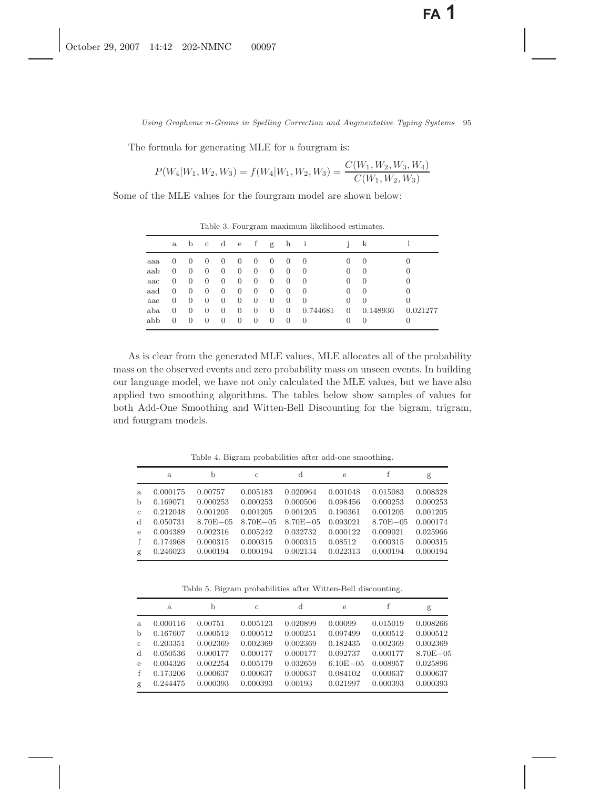The formula for generating MLE for a fourgram is:

$$
P(W_4|W_1, W_2, W_3) = f(W_4|W_1, W_2, W_3) = \frac{C(W_1, W_2, W_3, W_4)}{C(W_1, W_2, W_3)}
$$

Some of the MLE values for the fourgram model are shown below:

|     | $\mathbf{a}$ | b                | $\mathbf{c}$ | d              | e        | $\pm$          | g              | h              |                  |                | k                |          |
|-----|--------------|------------------|--------------|----------------|----------|----------------|----------------|----------------|------------------|----------------|------------------|----------|
| aaa | $\theta$     | $\left( \right)$ | $\theta$     | U              | $\theta$ | $\theta$       | $\theta$       | $\theta$       | $\left( \right)$ | $\theta$       | $\left( \right)$ |          |
| aab | 0            | $\theta$         | $\theta$     | $\theta$       | 0        | $\overline{0}$ | $\theta$       | 0              | $\theta$         | 0              | $\theta$         | $\theta$ |
| aac | 0            | $\theta$         | $\theta$     | 0              | 0        | $\theta$       | $\theta$       | 0              | $\Omega$         | 0              | $\Omega$         | $\Omega$ |
| aad | 0            | $\theta$         | $\theta$     | $\overline{0}$ | $\theta$ | $\theta$       | $\theta$       | $\theta$       | $\left( \right)$ | 0              | $\Omega$         | $\Omega$ |
| aae | 0            | $\theta$         | $\theta$     | 0              | 0        | $\theta$       | $\theta$       | $\theta$       | $\theta$         | 0              | $\Omega$         | 0        |
| aba | 0            | $\left( \right)$ | $\theta$     | 0              | 0        | $\overline{0}$ | $\overline{0}$ | $\overline{0}$ | 0.744681         | $\overline{0}$ | 0.148936         | 0.021277 |
| abb | 0            | $\theta$         | $\theta$     | $\theta$       | $\theta$ | $\theta$       | $\theta$       | 0              | $\theta$         |                |                  |          |

Table 3. Fourgram maximum likelihood estimates.

As is clear from the generated MLE values, MLE allocates all of the probability mass on the observed events and zero probability mass on unseen events. In building our language model, we have not only calculated the MLE values, but we have also applied two smoothing algorithms. The tables below show samples of values for both Add-One Smoothing and Witten-Bell Discounting for the bigram, trigram, and fourgram models.

Table 4. Bigram probabilities after add-one smoothing.

|              | a        | b             | $\mathcal{C}$ | d             | e        |              | g        |
|--------------|----------|---------------|---------------|---------------|----------|--------------|----------|
| a.           | 0.000175 | 0.00757       | 0.005183      | 0.020964      | 0.001048 | 0.015083     | 0.008328 |
| $\mathbf b$  | 0.169071 | 0.000253      | 0.000253      | 0.000506      | 0.098456 | 0.000253     | 0.000253 |
| $\mathbf{c}$ | 0.212048 | 0.001205      | 0.001205      | 0.001205      | 0.190361 | 0.001205     | 0.001205 |
| $\mathbf d$  | 0.050731 | $8.70E - 0.5$ | $8.70E - 0.5$ | $8.70E - 0.5$ | 0.093021 | $8.70E - 05$ | 0.000174 |
| $\mathbf{e}$ | 0.004389 | 0.002316      | 0.005242      | 0.032732      | 0.000122 | 0.009021     | 0.025966 |
| f            | 0.174968 | 0.000315      | 0.000315      | 0.000315      | 0.08512  | 0.000315     | 0.000315 |
| g            | 0.246023 | 0.000194      | 0.000194      | 0.002134      | 0.022313 | 0.000194     | 0.000194 |

Table 5. Bigram probabilities after Witten-Bell discounting.

|               | a.       | b        | $\mathcal{C}$ | d        | $\epsilon$   | f        | g            |
|---------------|----------|----------|---------------|----------|--------------|----------|--------------|
| a.            | 0.000116 | 0.00751  | 0.005123      | 0.020899 | 0.00099      | 0.015019 | 0.008266     |
| $\mathbf{h}$  | 0.167607 | 0.000512 | 0.000512      | 0.000251 | 0.097499     | 0.000512 | 0.000512     |
| $\mathcal{C}$ | 0.203351 | 0.002369 | 0.002369      | 0.002369 | 0.182435     | 0.002369 | 0.002369     |
| $\mathbf d$   | 0.050536 | 0.000177 | 0.000177      | 0.000177 | 0.092737     | 0.000177 | $8.70E - 05$ |
| $\epsilon$    | 0.004326 | 0.002254 | 0.005179      | 0.032659 | $6.10E - 05$ | 0.008957 | 0.025896     |
| f             | 0.173206 | 0.000637 | 0.000637      | 0.000637 | 0.084102     | 0.000637 | 0.000637     |
| g             | 0.244475 | 0.000393 | 0.000393      | 0.00193  | 0.021997     | 0.000393 | 0.000393     |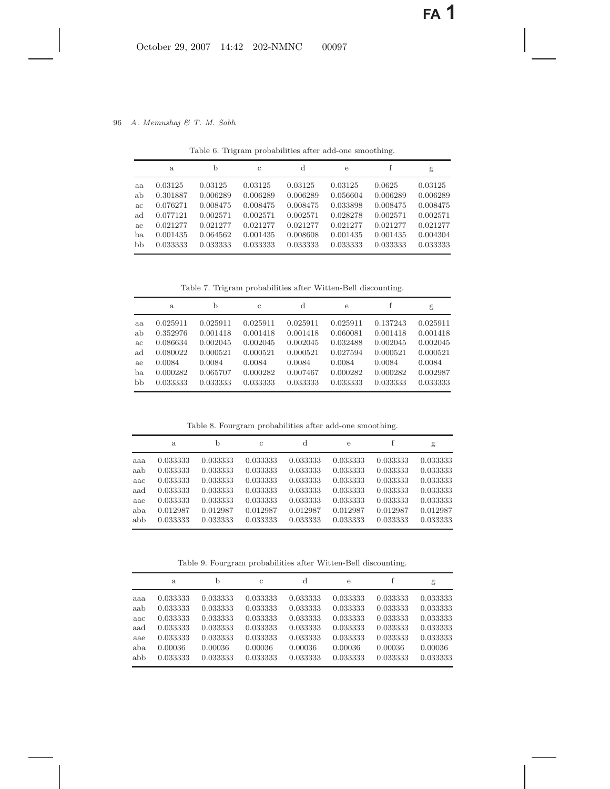|    | a.       | b        | $\mathbf{C}$ | d        | e        |          | g        |
|----|----------|----------|--------------|----------|----------|----------|----------|
| aa | 0.03125  | 0.03125  | 0.03125      | 0.03125  | 0.03125  | 0.0625   | 0.03125  |
| ab | 0.301887 | 0.006289 | 0.006289     | 0.006289 | 0.056604 | 0.006289 | 0.006289 |
| ac | 0.076271 | 0.008475 | 0.008475     | 0.008475 | 0.033898 | 0.008475 | 0.008475 |
| ad | 0.077121 | 0.002571 | 0.002571     | 0.002571 | 0.028278 | 0.002571 | 0.002571 |
| ae | 0.021277 | 0.021277 | 0.021277     | 0.021277 | 0.021277 | 0.021277 | 0.021277 |
| ba | 0.001435 | 0.064562 | 0.001435     | 0.008608 | 0.001435 | 0.001435 | 0.004304 |
| bb | 0.033333 | 0.033333 | 0.033333     | 0.033333 | 0.033333 | 0.033333 | 0.033333 |

Table 6. Trigram probabilities after add-one smoothing.

Table 7. Trigram probabilities after Witten-Bell discounting.

|     | a.       | b        | $\mathcal{C}$ | d        | e        |          | g        |
|-----|----------|----------|---------------|----------|----------|----------|----------|
| aa  | 0.025911 | 0.025911 | 0.025911      | 0.025911 | 0.025911 | 0.137243 | 0.025911 |
| ab  | 0.352976 | 0.001418 | 0.001418      | 0.001418 | 0.060081 | 0.001418 | 0.001418 |
| ac  | 0.086634 | 0.002045 | 0.002045      | 0.002045 | 0.032488 | 0.002045 | 0.002045 |
| ad  | 0.080022 | 0.000521 | 0.000521      | 0.000521 | 0.027594 | 0.000521 | 0.000521 |
| a.e | 0.0084   | 0.0084   | 0.0084        | 0.0084   | 0.0084   | 0.0084   | 0.0084   |
| ba  | 0.000282 | 0.065707 | 0.000282      | 0.007467 | 0.000282 | 0.000282 | 0.002987 |
| bb  | 0.033333 | 0.033333 | 0.033333      | 0.033333 | 0.033333 | 0.033333 | 0.033333 |

Table 8. Fourgram probabilities after add-one smoothing.

|     | a.       | b        | $\mathcal{C}$ | d        | e        |          | g        |
|-----|----------|----------|---------------|----------|----------|----------|----------|
| aaa | 0.033333 | 0.033333 | 0.033333      | 0.033333 | 0.033333 | 0.033333 | 0.033333 |
| aab | 0.033333 | 0.033333 | 0.033333      | 0.033333 | 0.033333 | 0.033333 | 0.033333 |
| aac | 0.033333 | 0.033333 | 0.033333      | 0.033333 | 0.033333 | 0.033333 | 0.033333 |
| aad | 0.033333 | 0.033333 | 0.033333      | 0.033333 | 0.033333 | 0.033333 | 0.033333 |
| aae | 0.033333 | 0.033333 | 0.033333      | 0.033333 | 0.033333 | 0.033333 | 0.033333 |
| aba | 0.012987 | 0.012987 | 0.012987      | 0.012987 | 0.012987 | 0.012987 | 0.012987 |
| abb | 0.033333 | 0.033333 | 0.033333      | 0.033333 | 0.033333 | 0.033333 | 0.033333 |

Table 9. Fourgram probabilities after Witten-Bell discounting.

|     | a.       | b        | C        | d        | e        |          | g        |
|-----|----------|----------|----------|----------|----------|----------|----------|
| aaa | 0.033333 | 0.033333 | 0.033333 | 0.033333 | 0.033333 | 0.033333 | 0.033333 |
| aab | 0.033333 | 0.033333 | 0.033333 | 0.033333 | 0.033333 | 0.033333 | 0.033333 |
| aac | 0.033333 | 0.033333 | 0.033333 | 0.033333 | 0.033333 | 0.033333 | 0.033333 |
| aad | 0.033333 | 0.033333 | 0.033333 | 0.033333 | 0.033333 | 0.033333 | 0.033333 |
| aae | 0.033333 | 0.033333 | 0.033333 | 0.033333 | 0.033333 | 0.033333 | 0.033333 |
| aba | 0.00036  | 0.00036  | 0.00036  | 0.00036  | 0.00036  | 0.00036  | 0.00036  |
| abb | 0.033333 | 0.033333 | 0.033333 | 0.033333 | 0.033333 | 0.033333 | 0.033333 |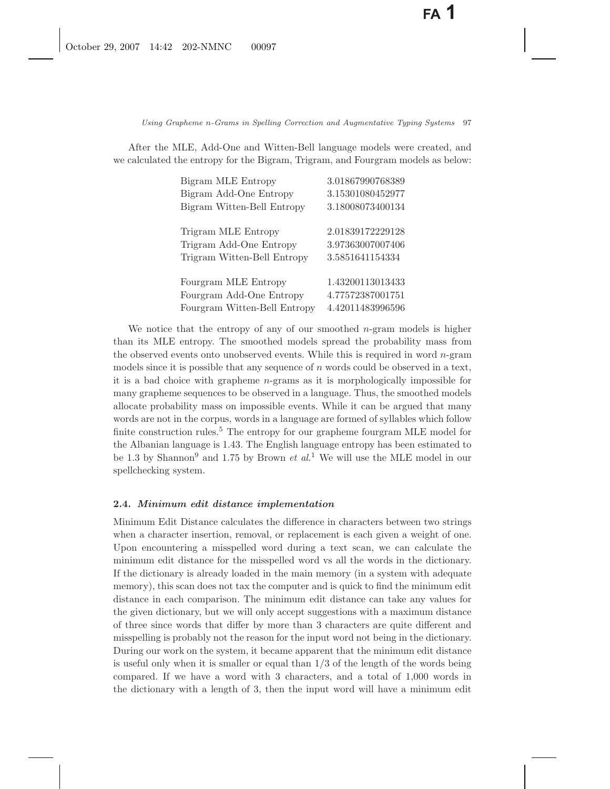After the MLE, Add-One and Witten-Bell language models were created, and we calculated the entropy for the Bigram, Trigram, and Fourgram models as below:

| Bigram MLE Entropy           | 3.01867990768389 |
|------------------------------|------------------|
| Bigram Add-One Entropy       | 3.15301080452977 |
| Bigram Witten-Bell Entropy   | 3.18008073400134 |
|                              |                  |
| Trigram MLE Entropy          | 2.01839172229128 |
| Trigram Add-One Entropy      | 3.97363007007406 |
| Trigram Witten-Bell Entropy  | 3.5851641154334  |
|                              |                  |
| Fourgram MLE Entropy         | 1.43200113013433 |
| Fourgram Add-One Entropy     | 4.77572387001751 |
| Fourgram Witten-Bell Entropy | 4.42011483996596 |

We notice that the entropy of any of our smoothed  $n$ -gram models is higher than its MLE entropy. The smoothed models spread the probability mass from the observed events onto unobserved events. While this is required in word n-gram models since it is possible that any sequence of  $n$  words could be observed in a text, it is a bad choice with grapheme n-grams as it is morphologically impossible for many grapheme sequences to be observed in a language. Thus, the smoothed models allocate probability mass on impossible events. While it can be argued that many words are not in the corpus, words in a language are formed of syllables which follow finite construction rules.<sup>5</sup> The entropy for our grapheme fourgram MLE model for the Albanian language is 1.43. The English language entropy has been estimated to be 1.3 by Shannon<sup>9</sup> and 1.75 by Brown *et al.*<sup>1</sup> We will use the MLE model in our spellchecking system.

### **2.4.** *Minimum edit distance implementation*

Minimum Edit Distance calculates the difference in characters between two strings when a character insertion, removal, or replacement is each given a weight of one. Upon encountering a misspelled word during a text scan, we can calculate the minimum edit distance for the misspelled word vs all the words in the dictionary. If the dictionary is already loaded in the main memory (in a system with adequate memory), this scan does not tax the computer and is quick to find the minimum edit distance in each comparison. The minimum edit distance can take any values for the given dictionary, but we will only accept suggestions with a maximum distance of three since words that differ by more than 3 characters are quite different and misspelling is probably not the reason for the input word not being in the dictionary. During our work on the system, it became apparent that the minimum edit distance is useful only when it is smaller or equal than  $1/3$  of the length of the words being compared. If we have a word with 3 characters, and a total of 1,000 words in the dictionary with a length of 3, then the input word will have a minimum edit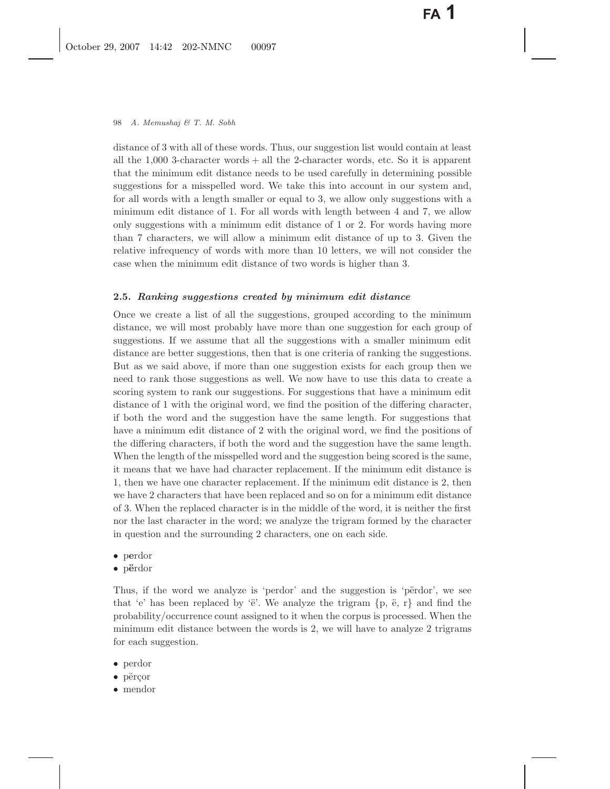distance of 3 with all of these words. Thus, our suggestion list would contain at least all the 1,000 3-character words + all the 2-character words, etc. So it is apparent that the minimum edit distance needs to be used carefully in determining possible suggestions for a misspelled word. We take this into account in our system and, for all words with a length smaller or equal to 3, we allow only suggestions with a minimum edit distance of 1. For all words with length between 4 and 7, we allow only suggestions with a minimum edit distance of 1 or 2. For words having more than 7 characters, we will allow a minimum edit distance of up to 3. Given the relative infrequency of words with more than 10 letters, we will not consider the case when the minimum edit distance of two words is higher than 3.

### **2.5.** *Ranking suggestions created by minimum edit distance*

Once we create a list of all the suggestions, grouped according to the minimum distance, we will most probably have more than one suggestion for each group of suggestions. If we assume that all the suggestions with a smaller minimum edit distance are better suggestions, then that is one criteria of ranking the suggestions. But as we said above, if more than one suggestion exists for each group then we need to rank those suggestions as well. We now have to use this data to create a scoring system to rank our suggestions. For suggestions that have a minimum edit distance of 1 with the original word, we find the position of the differing character, if both the word and the suggestion have the same length. For suggestions that have a minimum edit distance of 2 with the original word, we find the positions of the differing characters, if both the word and the suggestion have the same length. When the length of the misspelled word and the suggestion being scored is the same, it means that we have had character replacement. If the minimum edit distance is 1, then we have one character replacement. If the minimum edit distance is 2, then we have 2 characters that have been replaced and so on for a minimum edit distance of 3. When the replaced character is in the middle of the word, it is neither the first nor the last character in the word; we analyze the trigram formed by the character in question and the surrounding 2 characters, one on each side.

- p**e**rdor
- p**¨e**rdor

Thus, if the word we analyze is 'perdor' and the suggestion is 'përdor', we see that 'e' has been replaced by ' $\ddot{\rm e}$ '. We analyze the trigram  $\{p, \ddot{e}, r\}$  and find the probability/occurrence count assigned to it when the corpus is processed. When the minimum edit distance between the words is 2, we will have to analyze 2 trigrams for each suggestion.

- perdor
- $\bullet$  përçor
- mendor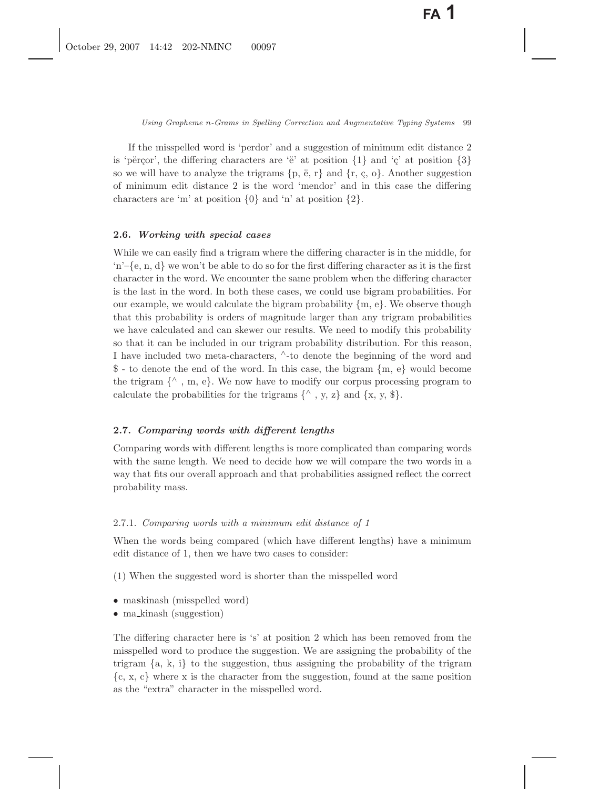If the misspelled word is 'perdor' and a suggestion of minimum edit distance 2 is 'përçor', the differing characters are 'ë' at position  $\{1\}$  and ' $\varsigma$ ' at position  $\{3\}$ so we will have to analyze the trigrams  $\{p, \ddot{e}, r\}$  and  $\{r, \dot{e}, o\}$ . Another suggestion of minimum edit distance 2 is the word 'mendor' and in this case the differing characters are 'm' at position  $\{0\}$  and 'n' at position  $\{2\}$ .

#### **2.6.** *Working with special cases*

While we can easily find a trigram where the differing character is in the middle, for  $\{n'-\{\varepsilon, n, d\}$  we won't be able to do so for the first differing character as it is the first character in the word. We encounter the same problem when the differing character is the last in the word. In both these cases, we could use bigram probabilities. For our example, we would calculate the bigram probability  ${m, e}$ . We observe though that this probability is orders of magnitude larger than any trigram probabilities we have calculated and can skewer our results. We need to modify this probability so that it can be included in our trigram probability distribution. For this reason, I have included two meta-characters, <sup>∧</sup>-to denote the beginning of the word and \$ - to denote the end of the word. In this case, the bigram {m, e} would become the trigram  $\{^{\wedge}, m, e\}$ . We now have to modify our corpus processing program to calculate the probabilities for the trigrams  $\{\wedge, y, z\}$  and  $\{x, y, \$\}.$ 

# **2.7.** *Comparing words with different lengths*

Comparing words with different lengths is more complicated than comparing words with the same length. We need to decide how we will compare the two words in a way that fits our overall approach and that probabilities assigned reflect the correct probability mass.

### 2.7.1. *Comparing words with a minimum edit distance of 1*

When the words being compared (which have different lengths) have a minimum edit distance of 1, then we have two cases to consider:

(1) When the suggested word is shorter than the misspelled word

- ma**s**kinash (misspelled word)
- ma\_kinash (suggestion)

The differing character here is 's' at position 2 which has been removed from the misspelled word to produce the suggestion. We are assigning the probability of the trigram  $\{a, k, i\}$  to the suggestion, thus assigning the probability of the trigram  $\{c, x, c\}$  where x is the character from the suggestion, found at the same position as the "extra" character in the misspelled word.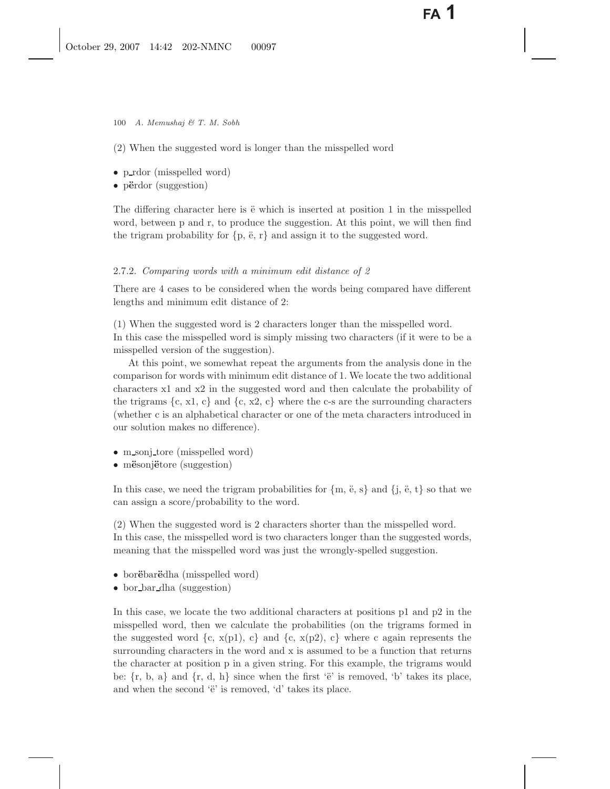100 *A. Memushaj & T. M. Sobh*

(2) When the suggested word is longer than the misspelled word

- p\_rdor (misspelled word)
- p**¨e**rdor (suggestion)

The differing character here is  $\ddot{e}$  which is inserted at position 1 in the misspelled word, between p and r, to produce the suggestion. At this point, we will then find the trigram probability for  $\{p, \ddot{e}, r\}$  and assign it to the suggested word.

# 2.7.2. *Comparing words with a minimum edit distance of 2*

There are 4 cases to be considered when the words being compared have different lengths and minimum edit distance of 2:

(1) When the suggested word is 2 characters longer than the misspelled word. In this case the misspelled word is simply missing two characters (if it were to be a misspelled version of the suggestion).

At this point, we somewhat repeat the arguments from the analysis done in the comparison for words with minimum edit distance of 1. We locate the two additional characters x1 and x2 in the suggested word and then calculate the probability of the trigrams  $\{c, x1, c\}$  and  $\{c, x2, c\}$  where the c-s are the surrounding characters (whether c is an alphabetical character or one of the meta characters introduced in our solution makes no difference).

- m\_sonj\_tore (misspelled word)
- m**ë**sonj**ëtore** (suggestion)

In this case, we need the trigram probabilities for  ${m, \ddot{e}, s}$  and  ${j, \ddot{e}, t}$  so that we can assign a score/probability to the word.

(2) When the suggested word is 2 characters shorter than the misspelled word. In this case, the misspelled word is two characters longer than the suggested words, meaning that the misspelled word was just the wrongly-spelled suggestion.

- borëbarëdha (misspelled word)
- bor bar dha (suggestion)

In this case, we locate the two additional characters at positions p1 and p2 in the misspelled word, then we calculate the probabilities (on the trigrams formed in the suggested word  $\{c, x(p1), c\}$  and  $\{c, x(p2), c\}$  where c again represents the surrounding characters in the word and x is assumed to be a function that returns the character at position p in a given string. For this example, the trigrams would be:  $\{r, b, a\}$  and  $\{r, d, h\}$  since when the first ' $\ddot{e}$ ' is removed, 'b' takes its place, and when the second  $\ddot{e}$  is removed,  $d$  takes its place.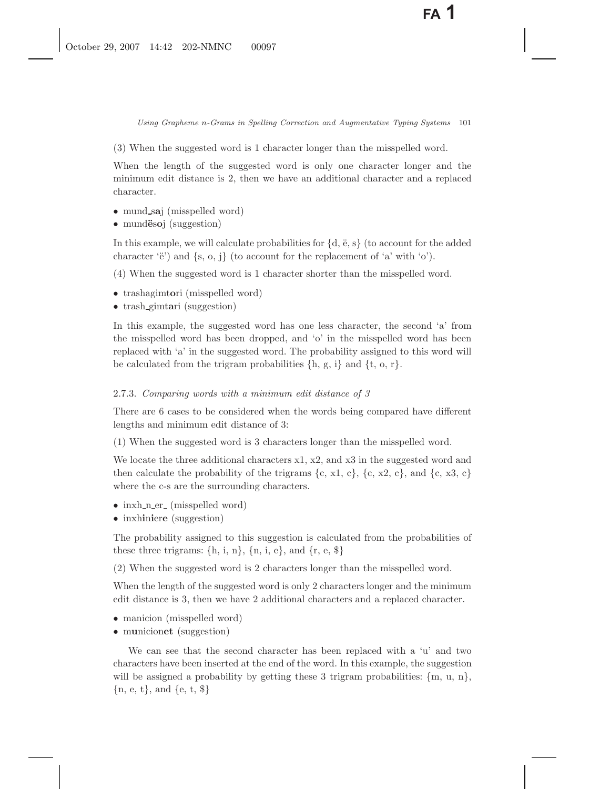(3) When the suggested word is 1 character longer than the misspelled word.

When the length of the suggested word is only one character longer and the minimum edit distance is 2, then we have an additional character and a replaced character.

- mund s**a**j (misspelled word)
- mund**ëso**j (suggestion)

In this example, we will calculate probabilities for  $\{d, \ddot{e}, s\}$  (to account for the added character ' $\ddot{e}$ ') and  $\{s, o, j\}$  (to account for the replacement of 'a' with 'o').

(4) When the suggested word is 1 character shorter than the misspelled word.

- trashagimt**o**ri (misspelled word)
- trash gimt**a**ri (suggestion)

In this example, the suggested word has one less character, the second 'a' from the misspelled word has been dropped, and 'o' in the misspelled word has been replaced with 'a' in the suggested word. The probability assigned to this word will be calculated from the trigram probabilities  $\{h, g, i\}$  and  $\{t, o, r\}$ .

## 2.7.3. *Comparing words with a minimum edit distance of 3*

There are 6 cases to be considered when the words being compared have different lengths and minimum edit distance of 3:

(1) When the suggested word is 3 characters longer than the misspelled word.

We locate the three additional characters  $x1, x2$ , and  $x3$  in the suggested word and then calculate the probability of the trigrams  $\{c, x1, c\}$ ,  $\{c, x2, c\}$ , and  $\{c, x3, c\}$ where the c-s are the surrounding characters.

- inxh\_n\_er\_ (misspelled word)
- inxhiniere (suggestion)

The probability assigned to this suggestion is calculated from the probabilities of these three trigrams:  $\{h, i, n\}$ ,  $\{n, i, e\}$ , and  $\{r, e, \$\}$ 

(2) When the suggested word is 2 characters longer than the misspelled word.

When the length of the suggested word is only 2 characters longer and the minimum edit distance is 3, then we have 2 additional characters and a replaced character.

- manicion (misspelled word)
- m**u**nicion**et** (suggestion)

We can see that the second character has been replaced with a 'u' and two characters have been inserted at the end of the word. In this example, the suggestion will be assigned a probability by getting these 3 trigram probabilities:  $\{m, u, n\}$ ,  $\{n, e, t\}$ , and  $\{e, t, \$\}$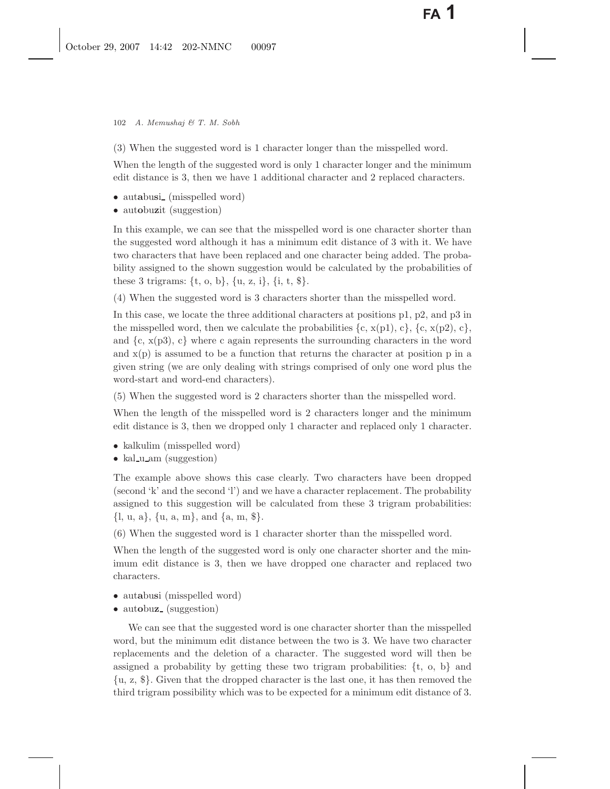102 *A. Memushaj & T. M. Sobh*

(3) When the suggested word is 1 character longer than the misspelled word.

When the length of the suggested word is only 1 character longer and the minimum edit distance is 3, then we have 1 additional character and 2 replaced characters.

- autabusi<sub>-</sub> (misspelled word)
- aut**o**bu**z**it (suggestion)

In this example, we can see that the misspelled word is one character shorter than the suggested word although it has a minimum edit distance of 3 with it. We have two characters that have been replaced and one character being added. The probability assigned to the shown suggestion would be calculated by the probabilities of these 3 trigrams:  $\{t, o, b\}$ ,  $\{u, z, i\}$ ,  $\{i, t, \$\}$ .

(4) When the suggested word is 3 characters shorter than the misspelled word.

In this case, we locate the three additional characters at positions p1, p2, and p3 in the misspelled word, then we calculate the probabilities  $\{c, x(p1), c\}$ ,  $\{c, x(p2), c\}$ , and  $\{c, x(p3), c\}$  where c again represents the surrounding characters in the word and  $x(p)$  is assumed to be a function that returns the character at position p in a given string (we are only dealing with strings comprised of only one word plus the word-start and word-end characters).

(5) When the suggested word is 2 characters shorter than the misspelled word.

When the length of the misspelled word is 2 characters longer and the minimum edit distance is 3, then we dropped only 1 character and replaced only 1 character.

- kalkulim (misspelled word)
- kal u am (suggestion)

The example above shows this case clearly. Two characters have been dropped (second 'k' and the second 'l') and we have a character replacement. The probability assigned to this suggestion will be calculated from these 3 trigram probabilities:  $\{l, u, a\}, \{u, a, m\}, \text{and } \{a, m, \$\}.$ 

(6) When the suggested word is 1 character shorter than the misspelled word.

When the length of the suggested word is only one character shorter and the minimum edit distance is 3, then we have dropped one character and replaced two characters.

- autabusi (misspelled word)
- autobuz<sub>-</sub> (suggestion)

We can see that the suggested word is one character shorter than the misspelled word, but the minimum edit distance between the two is 3. We have two character replacements and the deletion of a character. The suggested word will then be assigned a probability by getting these two trigram probabilities:  $\{t, o, b\}$  and {u, z, \$}. Given that the dropped character is the last one, it has then removed the third trigram possibility which was to be expected for a minimum edit distance of 3.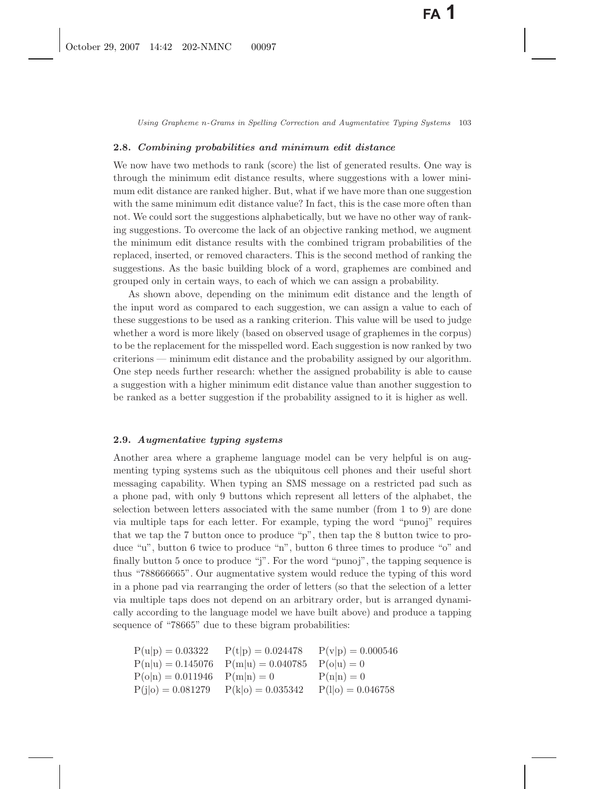### **2.8.** *Combining probabilities and minimum edit distance*

We now have two methods to rank (score) the list of generated results. One way is through the minimum edit distance results, where suggestions with a lower minimum edit distance are ranked higher. But, what if we have more than one suggestion with the same minimum edit distance value? In fact, this is the case more often than not. We could sort the suggestions alphabetically, but we have no other way of ranking suggestions. To overcome the lack of an objective ranking method, we augment the minimum edit distance results with the combined trigram probabilities of the replaced, inserted, or removed characters. This is the second method of ranking the suggestions. As the basic building block of a word, graphemes are combined and grouped only in certain ways, to each of which we can assign a probability.

As shown above, depending on the minimum edit distance and the length of the input word as compared to each suggestion, we can assign a value to each of these suggestions to be used as a ranking criterion. This value will be used to judge whether a word is more likely (based on observed usage of graphemes in the corpus) to be the replacement for the misspelled word. Each suggestion is now ranked by two criterions — minimum edit distance and the probability assigned by our algorithm. One step needs further research: whether the assigned probability is able to cause a suggestion with a higher minimum edit distance value than another suggestion to be ranked as a better suggestion if the probability assigned to it is higher as well.

#### **2.9.** *Augmentative typing systems*

Another area where a grapheme language model can be very helpful is on augmenting typing systems such as the ubiquitous cell phones and their useful short messaging capability. When typing an SMS message on a restricted pad such as a phone pad, with only 9 buttons which represent all letters of the alphabet, the selection between letters associated with the same number (from 1 to 9) are done via multiple taps for each letter. For example, typing the word "punoj" requires that we tap the 7 button once to produce "p", then tap the 8 button twice to produce "u", button 6 twice to produce "n", button 6 three times to produce "o" and finally button 5 once to produce "j". For the word "punoj", the tapping sequence is thus "788666665". Our augmentative system would reduce the typing of this word in a phone pad via rearranging the order of letters (so that the selection of a letter via multiple taps does not depend on an arbitrary order, but is arranged dynamically according to the language model we have built above) and produce a tapping sequence of "78665" due to these bigram probabilities:

 $P(u|p) = 0.03322$   $P(t|p) = 0.024478$   $P(v|p) = 0.000546$ <br> $P(n|u) = 0.145076$   $P(m|u) = 0.040785$   $P(o|u) = 0$  $P(m|u) = 0.040785 \quad P(o|u) = 0$ <br>  $P(m|n) = 0 \quad P(n|n) = 0$  $P(o|n) = 0.011946$   $P(m|n) = 0$   $P(n|n) = 0$ <br>  $P(j|o) = 0.081279$   $P(k|o) = 0.035342$   $P(l|o) = 0.046758$  $P(k|o) = 0.035342$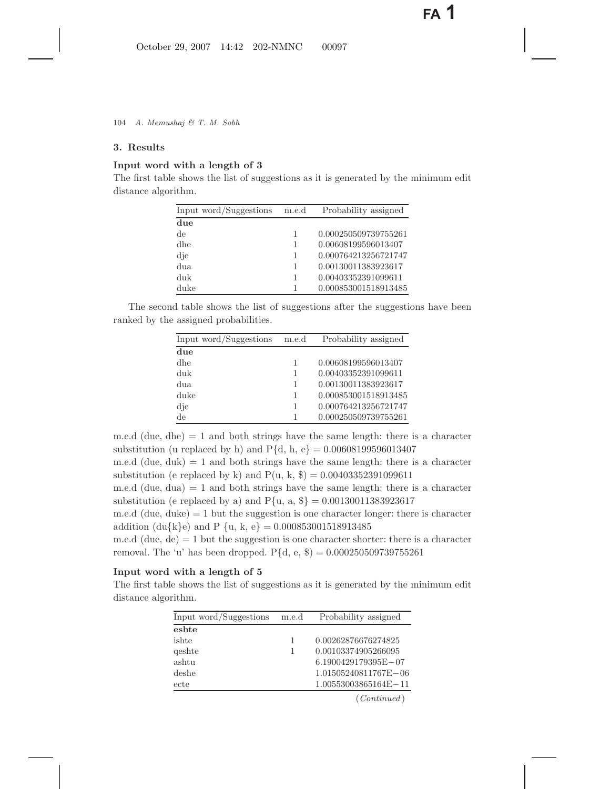# **3. Results**

# **Input word with a length of 3**

The first table shows the list of suggestions as it is generated by the minimum edit distance algorithm.

| Input word/Suggestions | m.e.d | Probability assigned |
|------------------------|-------|----------------------|
| due                    |       |                      |
| de                     | 1     | 0.000250509739755261 |
| dhe                    | 1     | 0.00608199596013407  |
| die                    | 1     | 0.000764213256721747 |
| dua.                   | 1     | 0.00130011383923617  |
| duk                    | 1     | 0.00403352391099611  |
| duke                   | 1     | 0.000853001518913485 |

The second table shows the list of suggestions after the suggestions have been ranked by the assigned probabilities.

| Input word/Suggestions | m.e.d | Probability assigned |
|------------------------|-------|----------------------|
| due                    |       |                      |
| dhe                    |       | 0.00608199596013407  |
| duk                    |       | 0.00403352391099611  |
| dua.                   |       | 0.00130011383923617  |
| duke                   |       | 0.000853001518913485 |
| dje                    |       | 0.000764213256721747 |
| de                     |       | 0.000250509739755261 |

m.e.d (due, dhe)  $= 1$  and both strings have the same length: there is a character substitution (u replaced by h) and  $P{d, h, e} = 0.00608199596013407$ m.e.d (due, duk)  $= 1$  and both strings have the same length: there is a character substitution (e replaced by k) and  $P(u, k, \$) = 0.00403352391099611$ m.e.d (due, dua)  $= 1$  and both strings have the same length: there is a character substitution (e replaced by a) and  $P\{u, a, \$\}= 0.00130011383923617$ 

m.e.d (due, duke)  $= 1$  but the suggestion is one character longer: there is character addition (du{k}e) and P {u, k, e} = 0.000853001518913485

m.e.d (due,  $de$ ) = 1 but the suggestion is one character shorter: there is a character removal. The 'u' has been dropped.  $P{d, e, $ } = 0.000250509739755261$ 

# **Input word with a length of 5**

The first table shows the list of suggestions as it is generated by the minimum edit distance algorithm.

| Input word/Suggestions | m.e.d | Probability assigned    |
|------------------------|-------|-------------------------|
| eshte                  |       |                         |
| ishte                  | 1     | 0.00262876676274825     |
| qeshte                 |       | 0.00103374905266095     |
| ashtu                  |       | $6.1900429179395E - 07$ |
| deshe                  |       | 1.01505240811767E-06    |
| ecte                   |       | 1.00553003865164E-11    |
|                        |       | $\sqrt{a}$              |

(*Continued* )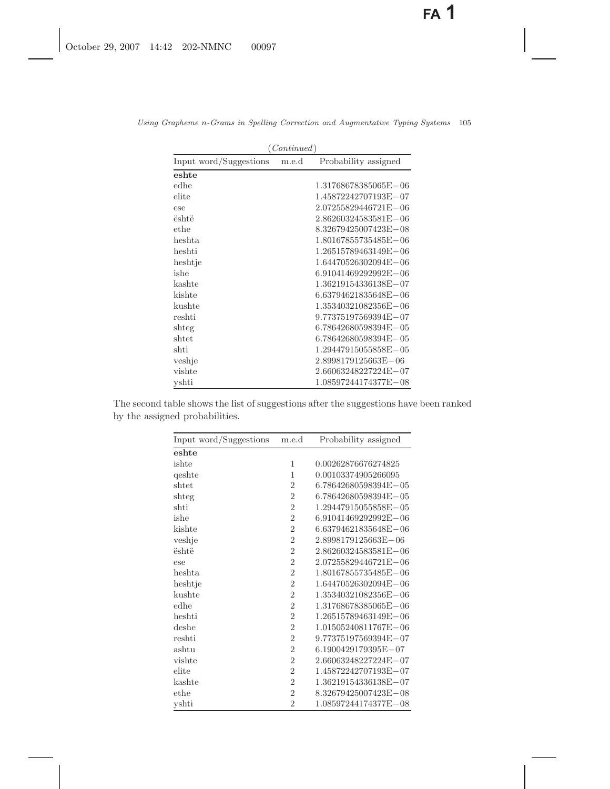| (Continued)            |       |                          |  |  |
|------------------------|-------|--------------------------|--|--|
| Input word/Suggestions | m.e.d | Probability assigned     |  |  |
| eshte                  |       |                          |  |  |
| edhe                   |       | 1.31768678385065E-06     |  |  |
| elite                  |       | 1.45872242707193E-07     |  |  |
| ese                    |       | $2.07255829446721E - 06$ |  |  |
| është                  |       | 2.86260324583581E-06     |  |  |
| ethe                   |       | 8.32679425007423E-08     |  |  |
| heshta                 |       | 1.80167855735485E-06     |  |  |
| heshti                 |       | 1.26515789463149E-06     |  |  |
| heshtje                |       | 1.64470526302094E-06     |  |  |
| ishe                   |       | 6.91041469292992E-06     |  |  |
| kashte                 |       | 1.36219154336138E-07     |  |  |
| kishte                 |       | 6.63794621835648E-06     |  |  |
| kushte                 |       | 1.35340321082356E-06     |  |  |
| reshti                 |       | 9.77375197569394E-07     |  |  |
| shteg                  |       | 6.78642680598394E-05     |  |  |
| shtet                  |       | $6.78642680598394E - 05$ |  |  |
| shti                   |       | 1.29447915055858E-05     |  |  |
| veshje                 |       | 2.8998179125663E-06      |  |  |
| vishte                 |       | 2.66063248227224E-07     |  |  |
| yshti                  |       | 1.08597244174377E-08     |  |  |

*Using Grapheme n-Grams in Spelling Correction and Augmentative Typing Systems* 105

The second table shows the list of suggestions after the suggestions have been ranked by the assigned probabilities.

| Input word/Suggestions | m.e.d          | Probability assigned |
|------------------------|----------------|----------------------|
| eshte                  |                |                      |
| ishte                  | 1              | 0.00262876676274825  |
| qeshte                 | 1              | 0.00103374905266095  |
| shtet                  | $\overline{2}$ | 6.78642680598394E-05 |
| shteg                  | $\overline{2}$ | 6.78642680598394E-05 |
| shti                   | $\overline{2}$ | 1.29447915055858E-05 |
| ishe                   | $\overline{2}$ | 6.91041469292992E-06 |
| kishte                 | $\sqrt{2}$     | 6.63794621835648E-06 |
| veshje                 | $\overline{2}$ | 2.8998179125663E-06  |
| është                  | $\overline{2}$ | 2.86260324583581E-06 |
| ese                    | $\overline{2}$ | 2.07255829446721E-06 |
| heshta                 | $\overline{2}$ | 1.80167855735485E-06 |
| heshtje                | $\overline{2}$ | 1.64470526302094E-06 |
| kushte                 | $\overline{2}$ | 1.35340321082356E-06 |
| edhe                   | $\overline{2}$ | 1.31768678385065E-06 |
| heshti                 | $\overline{2}$ | 1.26515789463149E-06 |
| deshe                  | $\overline{2}$ | 1.01505240811767E-06 |
| reshti                 | $\overline{2}$ | 9.77375197569394E-07 |
| ashtu                  | $\overline{2}$ | 6.1900429179395E-07  |
| vishte                 | $\overline{2}$ | 2.66063248227224E-07 |
| elite                  | $\sqrt{2}$     | 1.45872242707193E-07 |
| kashte                 | $\overline{2}$ | 1.36219154336138E-07 |
| ethe                   | $\overline{2}$ | 8.32679425007423E-08 |
| yshti                  | $\overline{2}$ | 1.08597244174377E-08 |